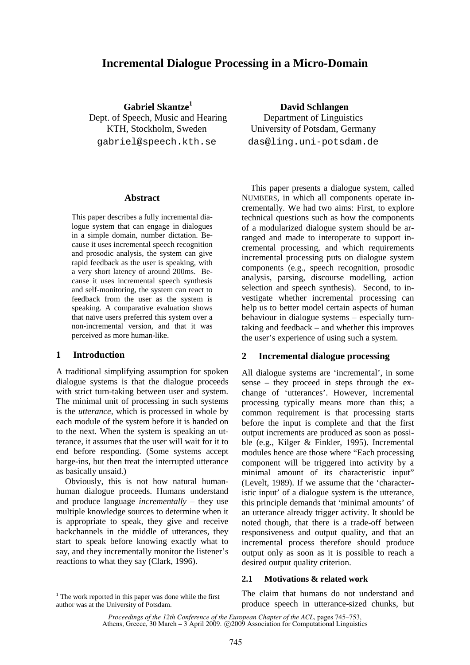# **Incremental Dialogue Processing in a Micro-Domain**

 **Gabriel Skantze<sup>1</sup>** Dept. of Speech, Music and Hearing KTH, Stockholm, Sweden gabriel@speech.kth.se

#### **Abstract**

This paper describes a fully incremental dialogue system that can engage in dialogues in a simple domain, number dictation. Because it uses incremental speech recognition and prosodic analysis, the system can give rapid feedback as the user is speaking, with a very short latency of around 200ms. Because it uses incremental speech synthesis and self-monitoring, the system can react to feedback from the user as the system is speaking. A comparative evaluation shows that naïve users preferred this system over a non-incremental version, and that it was perceived as more human-like.

#### **1 Introduction**

A traditional simplifying assumption for spoken dialogue systems is that the dialogue proceeds with strict turn-taking between user and system. The minimal unit of processing in such systems is the *utterance*, which is processed in whole by each module of the system before it is handed on to the next. When the system is speaking an utterance, it assumes that the user will wait for it to end before responding. (Some systems accept barge-ins, but then treat the interrupted utterance as basically unsaid.)

Obviously, this is not how natural humanhuman dialogue proceeds. Humans understand and produce language *incrementally* – they use multiple knowledge sources to determine when it is appropriate to speak, they give and receive backchannels in the middle of utterances, they start to speak before knowing exactly what to say, and they incrementally monitor the listener's reactions to what they say (Clark, 1996).

 **David Schlangen**  Department of Linguistics University of Potsdam, Germany das@ling.uni-potsdam.de

This paper presents a dialogue system, called NUMBERS, in which all components operate incrementally. We had two aims: First, to explore technical questions such as how the components of a modularized dialogue system should be arranged and made to interoperate to support incremental processing, and which requirements incremental processing puts on dialogue system components (e.g., speech recognition, prosodic analysis, parsing, discourse modelling, action selection and speech synthesis). Second, to investigate whether incremental processing can help us to better model certain aspects of human behaviour in dialogue systems – especially turntaking and feedback – and whether this improves the user's experience of using such a system.

#### **2 Incremental dialogue processing**

All dialogue systems are 'incremental', in some sense – they proceed in steps through the exchange of 'utterances'. However, incremental processing typically means more than this; a common requirement is that processing starts before the input is complete and that the first output increments are produced as soon as possible (e.g., Kilger & Finkler, 1995). Incremental modules hence are those where "Each processing component will be triggered into activity by a minimal amount of its characteristic input" (Levelt, 1989). If we assume that the 'characteristic input' of a dialogue system is the utterance, this principle demands that 'minimal amounts' of an utterance already trigger activity. It should be noted though, that there is a trade-off between responsiveness and output quality, and that an incremental process therefore should produce output only as soon as it is possible to reach a desired output quality criterion.

#### **2.1 Motivations & related work**

The claim that humans do not understand and produce speech in utterance-sized chunks, but

<sup>&</sup>lt;sup>1</sup> The work reported in this paper was done while the first author was at the University of Potsdam.

*Proceedings of the 12th Conference of the European Chapter of the ACL*, pages 745–753, Athens, Greece, 30 March – 3 April 2009. © 2009 Association for Computational Linguistics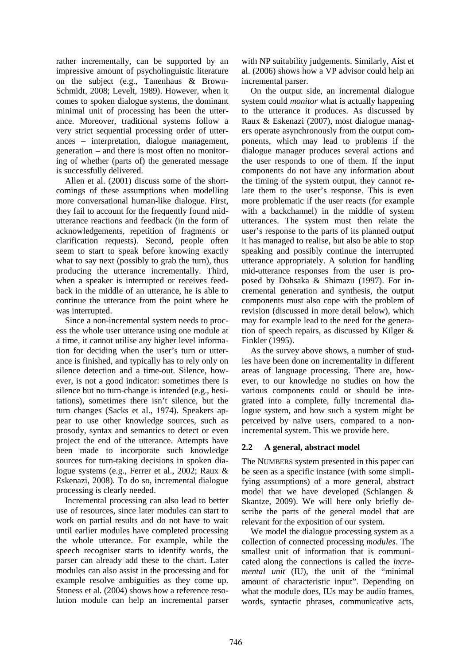rather incrementally, can be supported by an impressive amount of psycholinguistic literature on the subject (e.g., Tanenhaus & Brown-Schmidt, 2008; Levelt, 1989). However, when it comes to spoken dialogue systems, the dominant minimal unit of processing has been the utterance. Moreover, traditional systems follow a very strict sequential processing order of utterances – interpretation, dialogue management, generation – and there is most often no monitoring of whether (parts of) the generated message is successfully delivered.

Allen et al. (2001) discuss some of the shortcomings of these assumptions when modelling more conversational human-like dialogue. First, they fail to account for the frequently found midutterance reactions and feedback (in the form of acknowledgements, repetition of fragments or clarification requests). Second, people often seem to start to speak before knowing exactly what to say next (possibly to grab the turn), thus producing the utterance incrementally. Third, when a speaker is interrupted or receives feedback in the middle of an utterance, he is able to continue the utterance from the point where he was interrupted.

Since a non-incremental system needs to process the whole user utterance using one module at a time, it cannot utilise any higher level information for deciding when the user's turn or utterance is finished, and typically has to rely only on silence detection and a time-out. Silence, however, is not a good indicator: sometimes there is silence but no turn-change is intended (e.g., hesitations), sometimes there isn't silence, but the turn changes (Sacks et al., 1974). Speakers appear to use other knowledge sources, such as prosody, syntax and semantics to detect or even project the end of the utterance. Attempts have been made to incorporate such knowledge sources for turn-taking decisions in spoken dialogue systems (e.g., Ferrer et al., 2002; Raux & Eskenazi, 2008). To do so, incremental dialogue processing is clearly needed.

Incremental processing can also lead to better use of resources, since later modules can start to work on partial results and do not have to wait until earlier modules have completed processing the whole utterance. For example, while the speech recogniser starts to identify words, the parser can already add these to the chart. Later modules can also assist in the processing and for example resolve ambiguities as they come up. Stoness et al. (2004) shows how a reference resolution module can help an incremental parser

with NP suitability judgements. Similarly, Aist et al. (2006) shows how a VP advisor could help an incremental parser.

On the output side, an incremental dialogue system could *monitor* what is actually happening to the utterance it produces. As discussed by Raux & Eskenazi (2007), most dialogue managers operate asynchronously from the output components, which may lead to problems if the dialogue manager produces several actions and the user responds to one of them. If the input components do not have any information about the timing of the system output, they cannot relate them to the user's response. This is even more problematic if the user reacts (for example with a backchannel) in the middle of system utterances. The system must then relate the user's response to the parts of its planned output it has managed to realise, but also be able to stop speaking and possibly continue the interrupted utterance appropriately. A solution for handling mid-utterance responses from the user is proposed by Dohsaka & Shimazu (1997). For incremental generation and synthesis, the output components must also cope with the problem of revision (discussed in more detail below), which may for example lead to the need for the generation of speech repairs, as discussed by Kilger & Finkler (1995).

As the survey above shows, a number of studies have been done on incrementality in different areas of language processing. There are, however, to our knowledge no studies on how the various components could or should be integrated into a complete, fully incremental dialogue system, and how such a system might be perceived by naïve users, compared to a nonincremental system. This we provide here.

## **2.2 A general, abstract model**

The NUMBERS system presented in this paper can be seen as a specific instance (with some simplifying assumptions) of a more general, abstract model that we have developed (Schlangen & Skantze, 2009). We will here only briefly describe the parts of the general model that are relevant for the exposition of our system.

We model the dialogue processing system as a collection of connected processing *modules*. The smallest unit of information that is communicated along the connections is called the *incremental unit* (IU), the unit of the "minimal amount of characteristic input". Depending on what the module does, IUs may be audio frames, words, syntactic phrases, communicative acts,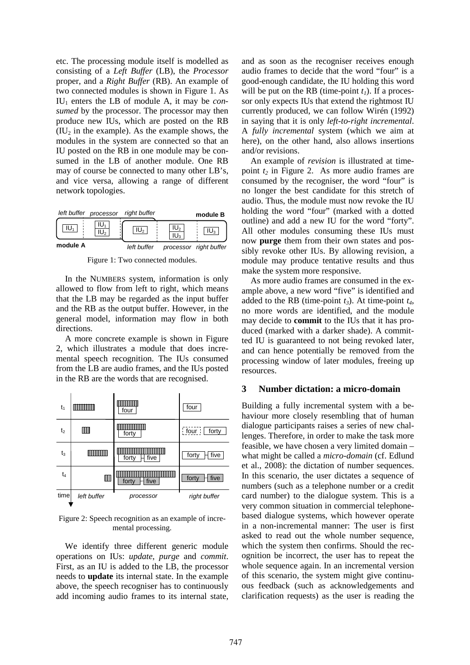etc. The processing module itself is modelled as consisting of a *Left Buffer* (LB), the *Processor* proper, and a *Right Buffer* (RB). An example of two connected modules is shown in Figure 1. As IU1 enters the LB of module A, it may be *consumed* by the processor. The processor may then produce new IUs, which are posted on the RB  $(IU<sub>2</sub>$  in the example). As the example shows, the modules in the system are connected so that an IU posted on the RB in one module may be consumed in the LB of another module. One RB may of course be connected to many other LB's, and vice versa, allowing a range of different network topologies.



Figure 1: Two connected modules.

In the NUMBERS system, information is only allowed to flow from left to right, which means that the LB may be regarded as the input buffer and the RB as the output buffer. However, in the general model, information may flow in both directions.

A more concrete example is shown in Figure 2, which illustrates a module that does incremental speech recognition. The IUs consumed from the LB are audio frames, and the IUs posted in the RB are the words that are recognised.

| t <sub>1</sub> |             | four          | four                        |
|----------------|-------------|---------------|-----------------------------|
| t <sub>2</sub> | Ш           | forty         | $\frac{1}{2}$ four<br>forty |
| $t_3$          |             | five<br>forty | forty<br>five               |
| $t_4$          | Ш           | forty<br>five | forty<br>five               |
| time           | left buffer | processor     | right buffer                |

Figure 2: Speech recognition as an example of incremental processing.

We identify three different generic module operations on IUs: *update*, *purge* and *commit*. First, as an IU is added to the LB, the processor needs to **update** its internal state. In the example above, the speech recogniser has to continuously add incoming audio frames to its internal state, and as soon as the recogniser receives enough audio frames to decide that the word "four" is a good-enough candidate, the IU holding this word will be put on the RB (time-point  $t_1$ ). If a processor only expects IUs that extend the rightmost IU currently produced, we can follow Wirén (1992) in saying that it is only *left-to-right incremental*. A *fully incremental* system (which we aim at here), on the other hand, also allows insertions and/or revisions.

An example of *revision* is illustrated at timepoint *t2* in Figure 2. As more audio frames are consumed by the recogniser, the word "four" is no longer the best candidate for this stretch of audio. Thus, the module must now revoke the IU holding the word "four" (marked with a dotted outline) and add a new IU for the word "forty". All other modules consuming these IUs must now **purge** them from their own states and possibly revoke other IUs. By allowing revision, a module may produce tentative results and thus make the system more responsive.

As more audio frames are consumed in the example above, a new word "five" is identified and added to the RB (time-point  $t_3$ ). At time-point  $t_4$ , no more words are identified, and the module may decide to **commit** to the IUs that it has produced (marked with a darker shade). A committed IU is guaranteed to not being revoked later, and can hence potentially be removed from the processing window of later modules, freeing up resources.

### **3 Number dictation: a micro-domain**

Building a fully incremental system with a behaviour more closely resembling that of human dialogue participants raises a series of new challenges. Therefore, in order to make the task more feasible, we have chosen a very limited domain – what might be called a *micro-domain* (cf. Edlund et al., 2008): the dictation of number sequences. In this scenario, the user dictates a sequence of numbers (such as a telephone number or a credit card number) to the dialogue system. This is a very common situation in commercial telephonebased dialogue systems, which however operate in a non-incremental manner: The user is first asked to read out the whole number sequence, which the system then confirms. Should the recognition be incorrect, the user has to repeat the whole sequence again. In an incremental version of this scenario, the system might give continuous feedback (such as acknowledgements and clarification requests) as the user is reading the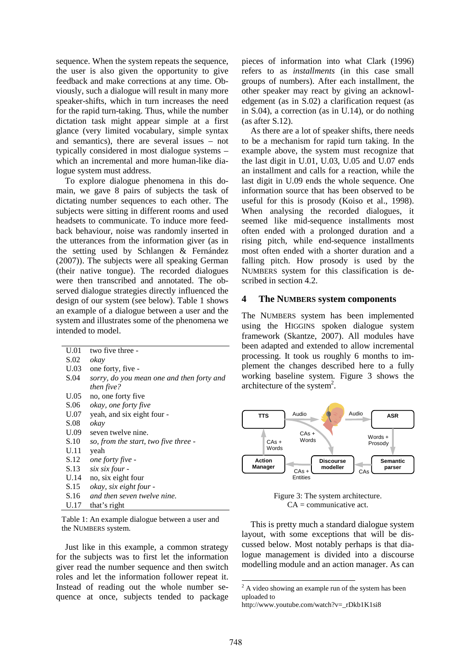sequence. When the system repeats the sequence, the user is also given the opportunity to give feedback and make corrections at any time. Obviously, such a dialogue will result in many more speaker-shifts, which in turn increases the need for the rapid turn-taking. Thus, while the number dictation task might appear simple at a first glance (very limited vocabulary, simple syntax and semantics), there are several issues – not typically considered in most dialogue systems – which an incremental and more human-like dialogue system must address.

To explore dialogue phenomena in this domain, we gave 8 pairs of subjects the task of dictating number sequences to each other. The subjects were sitting in different rooms and used headsets to communicate. To induce more feedback behaviour, noise was randomly inserted in the utterances from the information giver (as in the setting used by Schlangen & Fernández (2007)). The subjects were all speaking German (their native tongue). The recorded dialogues were then transcribed and annotated. The observed dialogue strategies directly influenced the design of our system (see below). Table 1 shows an example of a dialogue between a user and the system and illustrates some of the phenomena we intended to model.

| U.01 | two five three -                          |
|------|-------------------------------------------|
| S.02 | okay                                      |
| U.03 | one forty, five -                         |
| S.04 | sorry, do you mean one and then forty and |
|      | then five?                                |
| U.05 | no, one forty five                        |
| S.06 | okay, one forty five                      |
| U.07 | yeah, and six eight four -                |
| S.08 | okay                                      |
| U.09 | seven twelve nine.                        |
| S.10 | so, from the start, two five three -      |
| U.11 | yeah                                      |
| S.12 | one forty five -                          |
| S.13 | six six four -                            |
| U.14 | no, six eight four                        |
| S.15 | okay, six eight four -                    |
| S.16 | and then seven twelve nine.               |
| U.17 | that's right                              |
|      |                                           |

Table 1: An example dialogue between a user and the NUMBERS system.

Just like in this example, a common strategy for the subjects was to first let the information giver read the number sequence and then switch roles and let the information follower repeat it. Instead of reading out the whole number sequence at once, subjects tended to package pieces of information into what Clark (1996) refers to as *installments* (in this case small groups of numbers). After each installment, the other speaker may react by giving an acknowledgement (as in S.02) a clarification request (as in S.04), a correction (as in U.14), or do nothing (as after S.12).

As there are a lot of speaker shifts, there needs to be a mechanism for rapid turn taking. In the example above, the system must recognize that the last digit in U.01, U.03, U.05 and U.07 ends an installment and calls for a reaction, while the last digit in U.09 ends the whole sequence. One information source that has been observed to be useful for this is prosody (Koiso et al., 1998). When analysing the recorded dialogues, it seemed like mid-sequence installments most often ended with a prolonged duration and a rising pitch, while end-sequence installments most often ended with a shorter duration and a falling pitch. How prosody is used by the NUMBERS system for this classification is described in section 4.2.

### **4 The NUMBERS system components**

The NUMBERS system has been implemented using the HIGGINS spoken dialogue system framework (Skantze, 2007). All modules have been adapted and extended to allow incremental processing. It took us roughly 6 months to implement the changes described here to a fully working baseline system. Figure 3 shows the architecture of the system<sup>2</sup>.



Figure 3: The system architecture. CA = communicative act.

This is pretty much a standard dialogue system layout, with some exceptions that will be discussed below. Most notably perhaps is that dialogue management is divided into a discourse modelling module and an action manager. As can

**.** 

 $2^2$  A video showing an example run of the system has been uploaded to

http://www.youtube.com/watch?v=\_rDkb1K1si8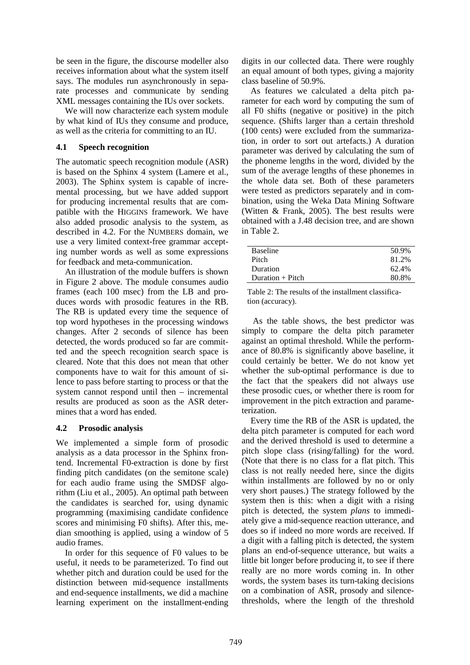be seen in the figure, the discourse modeller also receives information about what the system itself says. The modules run asynchronously in separate processes and communicate by sending XML messages containing the IUs over sockets.

We will now characterize each system module by what kind of IUs they consume and produce, as well as the criteria for committing to an IU.

### **4.1 Speech recognition**

The automatic speech recognition module (ASR) is based on the Sphinx 4 system (Lamere et al., 2003). The Sphinx system is capable of incremental processing, but we have added support for producing incremental results that are compatible with the HIGGINS framework. We have also added prosodic analysis to the system, as described in 4.2. For the NUMBERS domain, we use a very limited context-free grammar accepting number words as well as some expressions for feedback and meta-communication.

An illustration of the module buffers is shown in Figure 2 above. The module consumes audio frames (each 100 msec) from the LB and produces words with prosodic features in the RB. The RB is updated every time the sequence of top word hypotheses in the processing windows changes. After 2 seconds of silence has been detected, the words produced so far are committed and the speech recognition search space is cleared. Note that this does not mean that other components have to wait for this amount of silence to pass before starting to process or that the system cannot respond until then – incremental results are produced as soon as the ASR determines that a word has ended.

### **4.2 Prosodic analysis**

We implemented a simple form of prosodic analysis as a data processor in the Sphinx frontend. Incremental F0-extraction is done by first finding pitch candidates (on the semitone scale) for each audio frame using the SMDSF algorithm (Liu et al., 2005). An optimal path between the candidates is searched for, using dynamic programming (maximising candidate confidence scores and minimising F0 shifts). After this, median smoothing is applied, using a window of 5 audio frames.

In order for this sequence of F0 values to be useful, it needs to be parameterized. To find out whether pitch and duration could be used for the distinction between mid-sequence installments and end-sequence installments, we did a machine learning experiment on the installment-ending

digits in our collected data. There were roughly an equal amount of both types, giving a majority class baseline of 50.9%.

As features we calculated a delta pitch parameter for each word by computing the sum of all F0 shifts (negative or positive) in the pitch sequence. (Shifts larger than a certain threshold (100 cents) were excluded from the summarization, in order to sort out artefacts.) A duration parameter was derived by calculating the sum of the phoneme lengths in the word, divided by the sum of the average lengths of these phonemes in the whole data set. Both of these parameters were tested as predictors separately and in combination, using the Weka Data Mining Software (Witten & Frank, 2005). The best results were obtained with a J.48 decision tree, and are shown in Table 2.

| <b>Baseline</b>  | 50.9% |
|------------------|-------|
| Pitch            | 81.2% |
| Duration         | 62.4% |
| Duration + Pitch | 80.8% |

Table 2: The results of the installment classification (accuracy).

 As the table shows, the best predictor was simply to compare the delta pitch parameter against an optimal threshold. While the performance of 80.8% is significantly above baseline, it could certainly be better. We do not know yet whether the sub-optimal performance is due to the fact that the speakers did not always use these prosodic cues, or whether there is room for improvement in the pitch extraction and parameterization.

Every time the RB of the ASR is updated, the delta pitch parameter is computed for each word and the derived threshold is used to determine a pitch slope class (rising/falling) for the word. (Note that there is no class for a flat pitch. This class is not really needed here, since the digits within installments are followed by no or only very short pauses.) The strategy followed by the system then is this: when a digit with a rising pitch is detected, the system *plans* to immediately give a mid-sequence reaction utterance, and does so if indeed no more words are received. If a digit with a falling pitch is detected, the system plans an end-of-sequence utterance, but waits a little bit longer before producing it, to see if there really are no more words coming in. In other words, the system bases its turn-taking decisions on a combination of ASR, prosody and silencethresholds, where the length of the threshold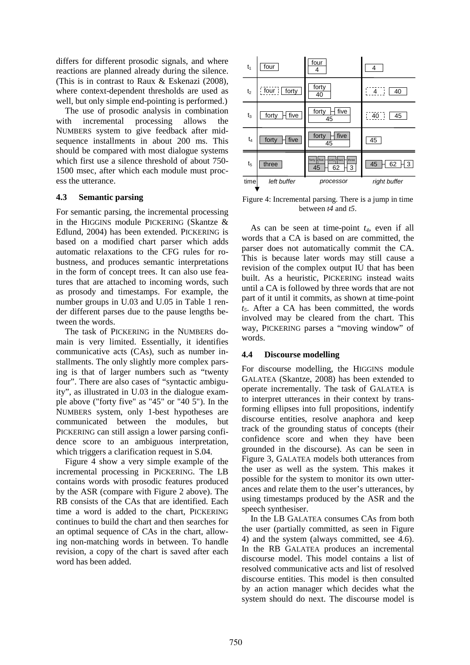differs for different prosodic signals, and where reactions are planned already during the silence. (This is in contrast to Raux & Eskenazi (2008), where context-dependent thresholds are used as well, but only simple end-pointing is performed.)

The use of prosodic analysis in combination with incremental processing allows the NUMBERS system to give feedback after midsequence installments in about 200 ms. This should be compared with most dialogue systems which first use a silence threshold of about 750- 1500 msec, after which each module must process the utterance.

#### **4.3 Semantic parsing**

For semantic parsing, the incremental processing in the HIGGINS module PICKERING (Skantze & Edlund, 2004) has been extended. PICKERING is based on a modified chart parser which adds automatic relaxations to the CFG rules for robustness, and produces semantic interpretations in the form of concept trees. It can also use features that are attached to incoming words, such as prosody and timestamps. For example, the number groups in U.03 and U.05 in Table 1 render different parses due to the pause lengths between the words.

The task of PICKERING in the NUMBERS domain is very limited. Essentially, it identifies communicative acts (CAs), such as number installments. The only slightly more complex parsing is that of larger numbers such as "twenty four". There are also cases of "syntactic ambiguity", as illustrated in U.03 in the dialogue example above ("forty five" as "45" or "40 5"). In the NUMBERS system, only 1-best hypotheses are communicated between the modules, but PICKERING can still assign a lower parsing confidence score to an ambiguous interpretation, which triggers a clarification request in S.04.

Figure 4 show a very simple example of the incremental processing in PICKERING. The LB contains words with prosodic features produced by the ASR (compare with Figure 2 above). The RB consists of the CAs that are identified. Each time a word is added to the chart, PICKERING continues to build the chart and then searches for an optimal sequence of CAs in the chart, allowing non-matching words in between. To handle revision, a copy of the chart is saved after each word has been added.



Figure 4: Incremental parsing. There is a jump in time between *t4* and *t5*.

As can be seen at time-point *t4*, even if all words that a CA is based on are committed, the parser does not automatically commit the CA. This is because later words may still cause a revision of the complex output IU that has been built. As a heuristic, PICKERING instead waits until a CA is followed by three words that are not part of it until it commits, as shown at time-point *t5*. After a CA has been committed, the words involved may be cleared from the chart. This way, PICKERING parses a "moving window" of words.

#### **4.4 Discourse modelling**

For discourse modelling, the HIGGINS module GALATEA (Skantze, 2008) has been extended to operate incrementally. The task of GALATEA is to interpret utterances in their context by transforming ellipses into full propositions, indentify discourse entities, resolve anaphora and keep track of the grounding status of concepts (their confidence score and when they have been grounded in the discourse). As can be seen in Figure 3, GALATEA models both utterances from the user as well as the system. This makes it possible for the system to monitor its own utterances and relate them to the user's utterances, by using timestamps produced by the ASR and the speech synthesiser.

In the LB GALATEA consumes CAs from both the user (partially committed, as seen in Figure 4) and the system (always committed, see 4.6). In the RB GALATEA produces an incremental discourse model. This model contains a list of resolved communicative acts and list of resolved discourse entities. This model is then consulted by an action manager which decides what the system should do next. The discourse model is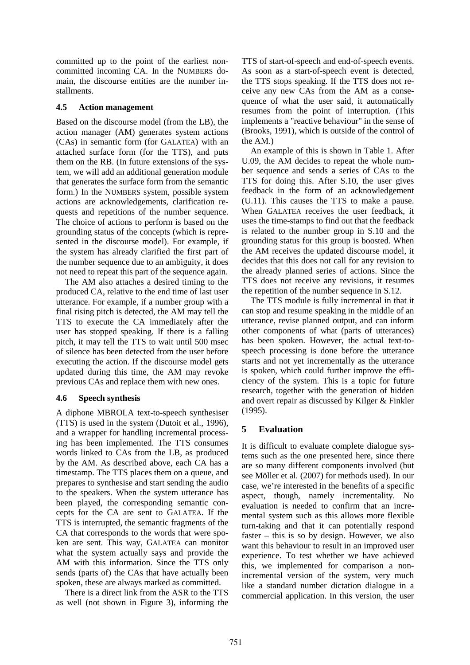committed up to the point of the earliest noncommitted incoming CA. In the NUMBERS domain, the discourse entities are the number installments.

### **4.5 Action management**

Based on the discourse model (from the LB), the action manager (AM) generates system actions (CAs) in semantic form (for GALATEA) with an attached surface form (for the TTS), and puts them on the RB. (In future extensions of the system, we will add an additional generation module that generates the surface form from the semantic form.) In the NUMBERS system, possible system actions are acknowledgements, clarification requests and repetitions of the number sequence. The choice of actions to perform is based on the grounding status of the concepts (which is represented in the discourse model). For example, if the system has already clarified the first part of the number sequence due to an ambiguity, it does not need to repeat this part of the sequence again.

The AM also attaches a desired timing to the produced CA, relative to the end time of last user utterance. For example, if a number group with a final rising pitch is detected, the AM may tell the TTS to execute the CA immediately after the user has stopped speaking. If there is a falling pitch, it may tell the TTS to wait until 500 msec of silence has been detected from the user before executing the action. If the discourse model gets updated during this time, the AM may revoke previous CAs and replace them with new ones.

### **4.6 Speech synthesis**

A diphone MBROLA text-to-speech synthesiser (TTS) is used in the system (Dutoit et al., 1996), and a wrapper for handling incremental processing has been implemented. The TTS consumes words linked to CAs from the LB, as produced by the AM. As described above, each CA has a timestamp. The TTS places them on a queue, and prepares to synthesise and start sending the audio to the speakers. When the system utterance has been played, the corresponding semantic concepts for the CA are sent to GALATEA. If the TTS is interrupted, the semantic fragments of the CA that corresponds to the words that were spoken are sent. This way, GALATEA can monitor what the system actually says and provide the AM with this information. Since the TTS only sends (parts of) the CAs that have actually been spoken, these are always marked as committed.

There is a direct link from the ASR to the TTS as well (not shown in Figure 3), informing the

TTS of start-of-speech and end-of-speech events. As soon as a start-of-speech event is detected, the TTS stops speaking. If the TTS does not receive any new CAs from the AM as a consequence of what the user said, it automatically resumes from the point of interruption. (This implements a "reactive behaviour" in the sense of (Brooks, 1991), which is outside of the control of the AM.)

An example of this is shown in Table 1. After U.09, the AM decides to repeat the whole number sequence and sends a series of CAs to the TTS for doing this. After S.10, the user gives feedback in the form of an acknowledgement (U.11). This causes the TTS to make a pause. When GALATEA receives the user feedback, it uses the time-stamps to find out that the feedback is related to the number group in S.10 and the grounding status for this group is boosted. When the AM receives the updated discourse model, it decides that this does not call for any revision to the already planned series of actions. Since the TTS does not receive any revisions, it resumes the repetition of the number sequence in S.12.

The TTS module is fully incremental in that it can stop and resume speaking in the middle of an utterance, revise planned output, and can inform other components of what (parts of utterances) has been spoken. However, the actual text-tospeech processing is done before the utterance starts and not yet incrementally as the utterance is spoken, which could further improve the efficiency of the system. This is a topic for future research, together with the generation of hidden and overt repair as discussed by Kilger & Finkler (1995).

### **5 Evaluation**

It is difficult to evaluate complete dialogue systems such as the one presented here, since there are so many different components involved (but see Möller et al. (2007) for methods used). In our case, we're interested in the benefits of a specific aspect, though, namely incrementality. No evaluation is needed to confirm that an incremental system such as this allows more flexible turn-taking and that it can potentially respond faster – this is so by design. However, we also want this behaviour to result in an improved user experience. To test whether we have achieved this, we implemented for comparison a nonincremental version of the system, very much like a standard number dictation dialogue in a commercial application. In this version, the user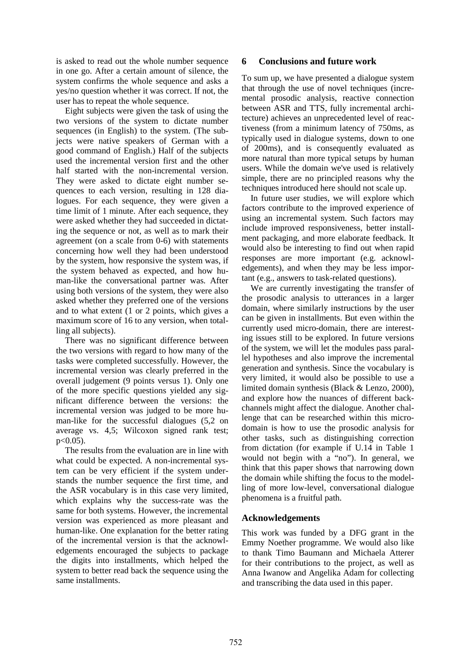is asked to read out the whole number sequence in one go. After a certain amount of silence, the system confirms the whole sequence and asks a yes/no question whether it was correct. If not, the user has to repeat the whole sequence.

Eight subjects were given the task of using the two versions of the system to dictate number sequences (in English) to the system. (The subjects were native speakers of German with a good command of English.) Half of the subjects used the incremental version first and the other half started with the non-incremental version. They were asked to dictate eight number sequences to each version, resulting in 128 dialogues. For each sequence, they were given a time limit of 1 minute. After each sequence, they were asked whether they had succeeded in dictating the sequence or not, as well as to mark their agreement (on a scale from 0-6) with statements concerning how well they had been understood by the system, how responsive the system was, if the system behaved as expected, and how human-like the conversational partner was. After using both versions of the system, they were also asked whether they preferred one of the versions and to what extent (1 or 2 points, which gives a maximum score of 16 to any version, when totalling all subjects).

There was no significant difference between the two versions with regard to how many of the tasks were completed successfully. However, the incremental version was clearly preferred in the overall judgement (9 points versus 1). Only one of the more specific questions yielded any significant difference between the versions: the incremental version was judged to be more human-like for the successful dialogues (5,2 on average vs. 4,5; Wilcoxon signed rank test;  $p < 0.05$ ).

The results from the evaluation are in line with what could be expected. A non-incremental system can be very efficient if the system understands the number sequence the first time, and the ASR vocabulary is in this case very limited, which explains why the success-rate was the same for both systems. However, the incremental version was experienced as more pleasant and human-like. One explanation for the better rating of the incremental version is that the acknowledgements encouraged the subjects to package the digits into installments, which helped the system to better read back the sequence using the same installments.

## **6 Conclusions and future work**

To sum up, we have presented a dialogue system that through the use of novel techniques (incremental prosodic analysis, reactive connection between ASR and TTS, fully incremental architecture) achieves an unprecedented level of reactiveness (from a minimum latency of 750ms, as typically used in dialogue systems, down to one of 200ms), and is consequently evaluated as more natural than more typical setups by human users. While the domain we've used is relatively simple, there are no principled reasons why the techniques introduced here should not scale up.

In future user studies, we will explore which factors contribute to the improved experience of using an incremental system. Such factors may include improved responsiveness, better installment packaging, and more elaborate feedback. It would also be interesting to find out when rapid responses are more important (e.g. acknowledgements), and when they may be less important (e.g., answers to task-related questions).

We are currently investigating the transfer of the prosodic analysis to utterances in a larger domain, where similarly instructions by the user can be given in installments. But even within the currently used micro-domain, there are interesting issues still to be explored. In future versions of the system, we will let the modules pass parallel hypotheses and also improve the incremental generation and synthesis. Since the vocabulary is very limited, it would also be possible to use a limited domain synthesis (Black & Lenzo, 2000), and explore how the nuances of different backchannels might affect the dialogue. Another challenge that can be researched within this microdomain is how to use the prosodic analysis for other tasks, such as distinguishing correction from dictation (for example if U.14 in Table 1 would not begin with a "no"). In general, we think that this paper shows that narrowing down the domain while shifting the focus to the modelling of more low-level, conversational dialogue phenomena is a fruitful path.

### **Acknowledgements**

This work was funded by a DFG grant in the Emmy Noether programme. We would also like to thank Timo Baumann and Michaela Atterer for their contributions to the project, as well as Anna Iwanow and Angelika Adam for collecting and transcribing the data used in this paper.